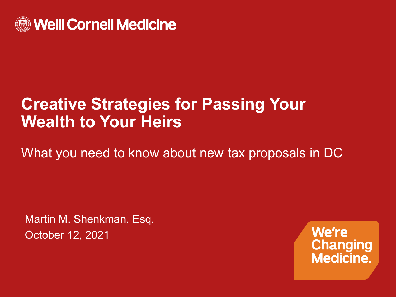

#### **Creative Strategies for Passing Your Wealth to Your Heirs**

What you need to know about new tax proposals in DC

Martin M. Shenkman, Esq. October 12, 2021

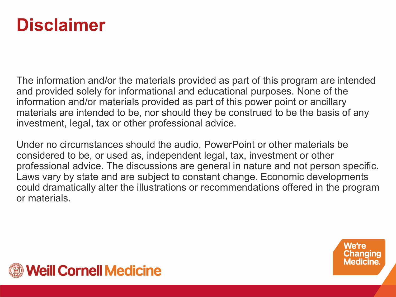#### **Disclaimer**

The information and/or the materials provided as part of this program are intended and provided solely for informational and educational purposes. None of the information and/or materials provided as part of this power point or ancillary materials are intended to be, nor should they be construed to be the basis of any investment, legal, tax or other professional advice.

Under no circumstances should the audio, PowerPoint or other materials be considered to be, or used as, independent legal, tax, investment or other professional advice. The discussions are general in nature and not person specific. Laws vary by state and are subject to constant change. Economic developments could dramatically alter the illustrations or recommendations offered in the program or materials.

> We're Changing **Medicine.**

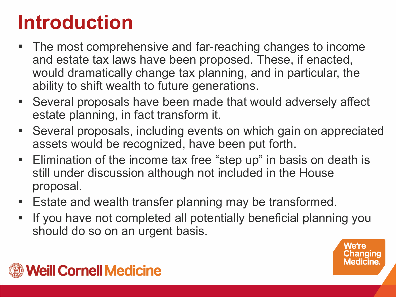# **Introduction**

- **The most comprehensive and far-reaching changes to income** and estate tax laws have been proposed. These, if enacted, would dramatically change tax planning, and in particular, the ability to shift wealth to future generations.
- Several proposals have been made that would adversely affect estate planning, in fact transform it.
- Several proposals, including events on which gain on appreciated assets would be recognized, have been put forth.
- Elimination of the income tax free "step up" in basis on death is still under discussion although not included in the House proposal.
- **Estate and wealth transfer planning may be transformed.**
- If you have not completed all potentially beneficial planning you should do so on an urgent basis.

hanging Medicine.

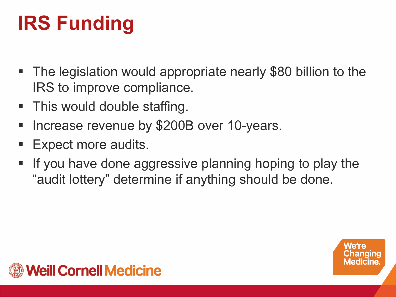# **IRS Funding**

- The legislation would appropriate nearly \$80 billion to the IRS to improve compliance.
- This would double staffing.
- **Increase revenue by \$200B over 10-years.**
- Expect more audits.
- If you have done aggressive planning hoping to play the "audit lottery" determine if anything should be done.

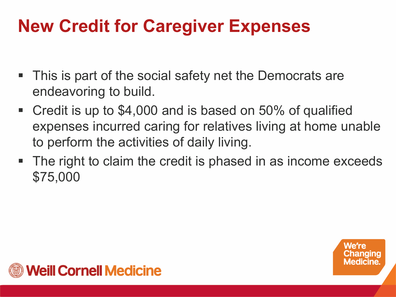## **New Credit for Caregiver Expenses**

- This is part of the social safety net the Democrats are endeavoring to build.
- Credit is up to \$4,000 and is based on 50% of qualified expenses incurred caring for relatives living at home unable to perform the activities of daily living.
- The right to claim the credit is phased in as income exceeds \$75,000



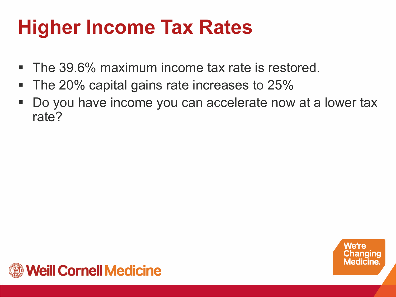# **Higher Income Tax Rates**

- **The 39.6% maximum income tax rate is restored.**
- The 20% capital gains rate increases to 25%
- Do you have income you can accelerate now at a lower tax rate?



We're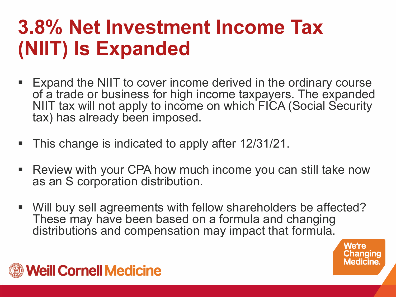## **3.8% Net Investment Income Tax (NIIT) Is Expanded**

- Expand the NIIT to cover income derived in the ordinary course of a trade or business for high income taxpayers. The expanded NIIT tax will not apply to income on which FICA (Social Security tax) has already been imposed.
- This change is indicated to apply after 12/31/21.
- Review with your CPA how much income you can still take now as an S corporation distribution.
- Will buy sell agreements with fellow shareholders be affected? These may have been based on a formula and changing distributions and compensation may impact that formula.

We're Changing **Medicine** 

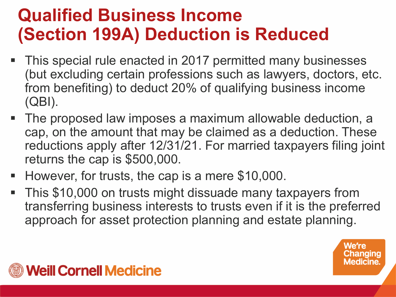### **Qualified Business Income (Section 199A) Deduction is Reduced**

- This special rule enacted in 2017 permitted many businesses (but excluding certain professions such as lawyers, doctors, etc. from benefiting) to deduct 20% of qualifying business income (QBI).
- The proposed law imposes a maximum allowable deduction, a cap, on the amount that may be claimed as a deduction. These reductions apply after 12/31/21. For married taxpayers filing joint returns the cap is \$500,000.
- However, for trusts, the cap is a mere \$10,000.
- This \$10,000 on trusts might dissuade many taxpayers from transferring business interests to trusts even if it is the preferred approach for asset protection planning and estate planning.

hanging

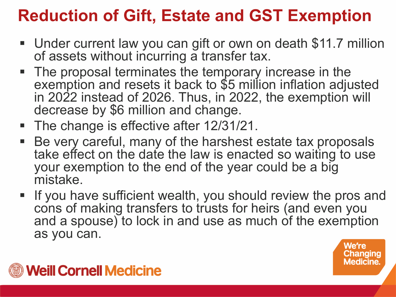#### **Reduction of Gift, Estate and GST Exemption**

- Under current law you can gift or own on death \$11.7 million of assets without incurring a transfer tax.
- The proposal terminates the temporary increase in the exemption and resets it back to \$5 million inflation adjusted in 2022 instead of 2026. Thus, in 2022, the exemption will decrease by \$6 million and change.
- The change is effective after 12/31/21.
- Be very careful, many of the harshest estate tax proposals take effect on the date the law is enacted so waiting to use your exemption to the end of the year could be a big mistake.
- **If you have sufficient wealth, you should review the pros and** cons of making transfers to trusts for heirs (and even you and a spouse) to lock in and use as much of the exemption as you can.



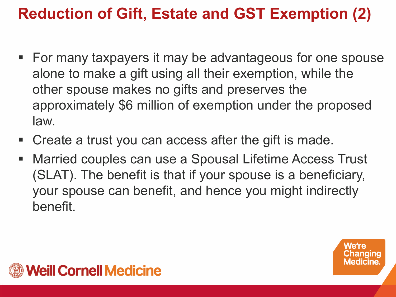#### **Reduction of Gift, Estate and GST Exemption (2)**

- For many taxpayers it may be advantageous for one spouse alone to make a gift using all their exemption, while the other spouse makes no gifts and preserves the approximately \$6 million of exemption under the proposed law.
- Create a trust you can access after the gift is made.
- Married couples can use a Spousal Lifetime Access Trust (SLAT). The benefit is that if your spouse is a beneficiary, your spouse can benefit, and hence you might indirectly benefit.

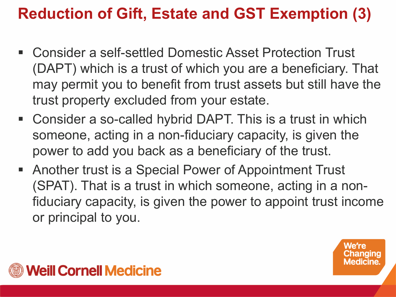#### **Reduction of Gift, Estate and GST Exemption (3)**

- Consider a self-settled Domestic Asset Protection Trust (DAPT) which is a trust of which you are a beneficiary. That may permit you to benefit from trust assets but still have the trust property excluded from your estate.
- Consider a so-called hybrid DAPT. This is a trust in which someone, acting in a non-fiduciary capacity, is given the power to add you back as a beneficiary of the trust.
- Another trust is a Special Power of Appointment Trust (SPAT). That is a trust in which someone, acting in a nonfiduciary capacity, is given the power to appoint trust income or principal to you.



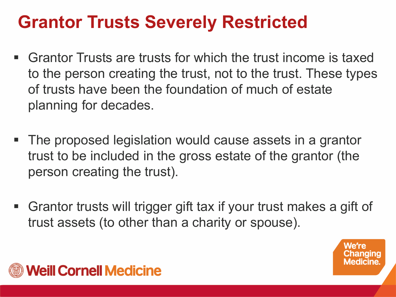#### **Grantor Trusts Severely Restricted**

- Grantor Trusts are trusts for which the trust income is taxed to the person creating the trust, not to the trust. These types of trusts have been the foundation of much of estate planning for decades.
- The proposed legislation would cause assets in a grantor trust to be included in the gross estate of the grantor (the person creating the trust).
- Grantor trusts will trigger gift tax if your trust makes a gift of trust assets (to other than a charity or spouse).

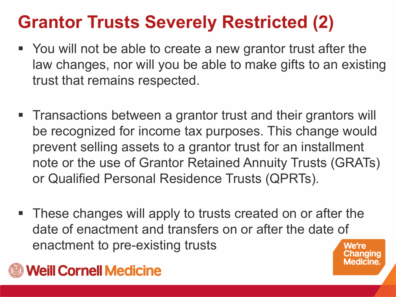## **Grantor Trusts Severely Restricted (2)**

- You will not be able to create a new grantor trust after the law changes, nor will you be able to make gifts to an existing trust that remains respected.
- **Transactions between a grantor trust and their grantors will** be recognized for income tax purposes. This change would prevent selling assets to a grantor trust for an installment note or the use of Grantor Retained Annuity Trusts (GRATs) or Qualified Personal Residence Trusts (QPRTs).
- These changes will apply to trusts created on or after the date of enactment and transfers on or after the date of enactment to pre-existing trusts We're

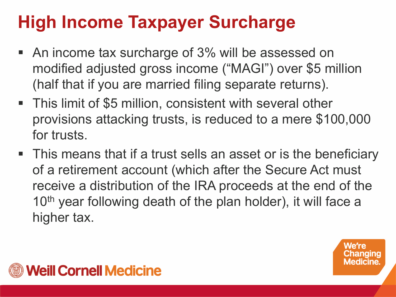## **High Income Taxpayer Surcharge**

- An income tax surcharge of 3% will be assessed on modified adjusted gross income ("MAGI") over \$5 million (half that if you are married filing separate returns).
- This limit of \$5 million, consistent with several other provisions attacking trusts, is reduced to a mere \$100,000 for trusts.
- This means that if a trust sells an asset or is the beneficiary of a retirement account (which after the Secure Act must receive a distribution of the IRA proceeds at the end of the 10<sup>th</sup> year following death of the plan holder), it will face a higher tax.

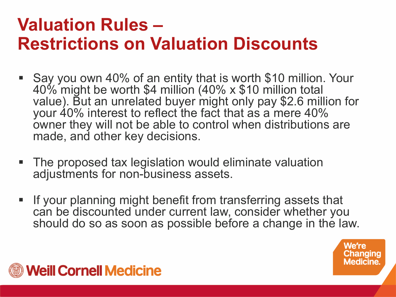#### **Valuation Rules – Restrictions on Valuation Discounts**

- Say you own 40% of an entity that is worth \$10 million. Your 40% might be worth \$4 million (40% x \$10 million total value). But an unrelated buyer might only pay \$2.6 million for your 40% interest to reflect the fact that as a mere 40% owner they will not be able to control when distributions are made, and other key decisions.
- The proposed tax legislation would eliminate valuation adjustments for non-business assets.
- If your planning might benefit from transferring assets that can be discounted under current law, consider whether you should do so as soon as possible before a change in the law.

We're Changing **Medicine.** 

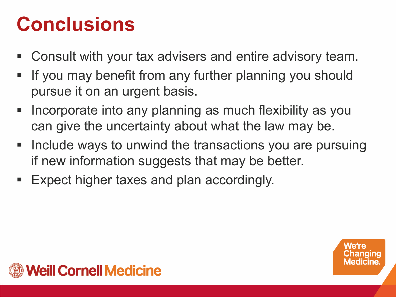## **Conclusions**

- Consult with your tax advisers and entire advisory team.
- **If you may benefit from any further planning you should** pursue it on an urgent basis.
- **Incorporate into any planning as much flexibility as you** can give the uncertainty about what the law may be.
- **Include ways to unwind the transactions you are pursuing** if new information suggests that may be better.
- Expect higher taxes and plan accordingly.

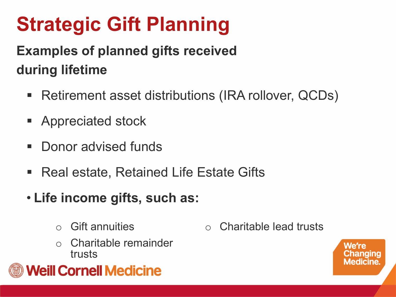# **Strategic Gift Planning**

#### **Examples of planned gifts received during lifetime**

- Retirement asset distributions (IRA rollover, QCDs)
- **Appreciated stock**
- **Donor advised funds**
- Real estate, Retained Life Estate Gifts
- **Life income gifts, such as:**
	- **Gift annuities**
	- Charitable remainder trusts



o Charitable lead trusts

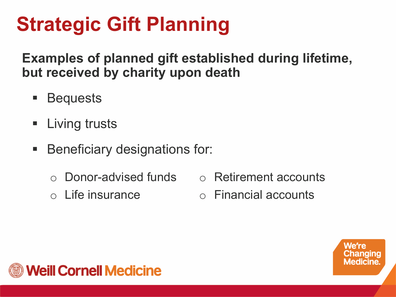# **Strategic Gift Planning**

**Examples of planned gift established during lifetime, but received by charity upon death**

- Bequests
- **E** Living trusts
- **Beneficiary designations for:** 
	- o Donor-advised funds
	- o Life insurance
- o Retirement accounts
- o Financial accounts

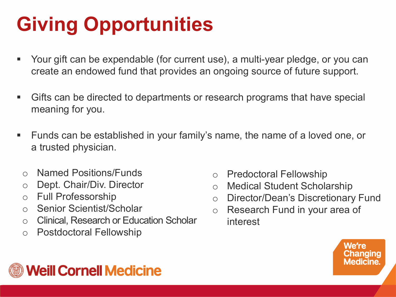# **Giving Opportunities**

- Your gift can be expendable (for current use), a multi-year pledge, or you can create an endowed fund that provides an ongoing source of future support.
- Gifts can be directed to departments or research programs that have special meaning for you.
- Funds can be established in your family's name, the name of a loved one, or a trusted physician.
	- o Named Positions/Funds
	- o Dept. Chair/Div. Director
	- o Full Professorship
	- o Senior Scientist/Scholar
	- o Clinical, Research or Education Scholar
	- o Postdoctoral Fellowship
- o Predoctoral Fellowship
- o Medical Student Scholarship
- o Director/Dean's Discretionary Fund
- o Research Fund in your area of interest



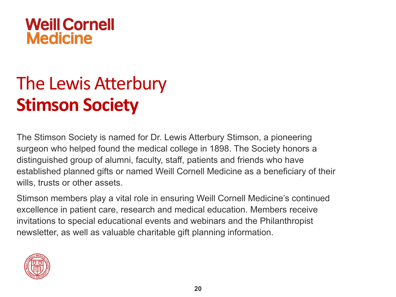

## The Lewis Atterbury **Stimson Society**

The Stimson Society is named for Dr. Lewis Atterbury Stimson, a pioneering surgeon who helped found the medical college in 1898. The Society honors a distinguished group of alumni, faculty, staff, patients and friends who have established planned gifts or named Weill Cornell Medicine as a beneficiary of their wills, trusts or other assets.

Stimson members play a vital role in ensuring Weill Cornell Medicine's continued excellence in patient care, research and medical education. Members receive invitations to special educational events and webinars and the Philanthropist newsletter, as well as valuable charitable gift planning information.

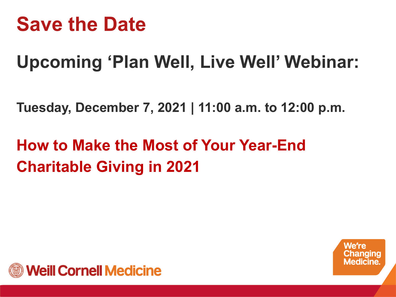## **Save the Date**

## **Upcoming 'Plan Well, Live Well' Webinar:**

**Tuesday, December 7, 2021 | 11:00 a.m. to 12:00 p.m.**

#### **How to Make the Most of Your Year-End Charitable Giving in 2021**